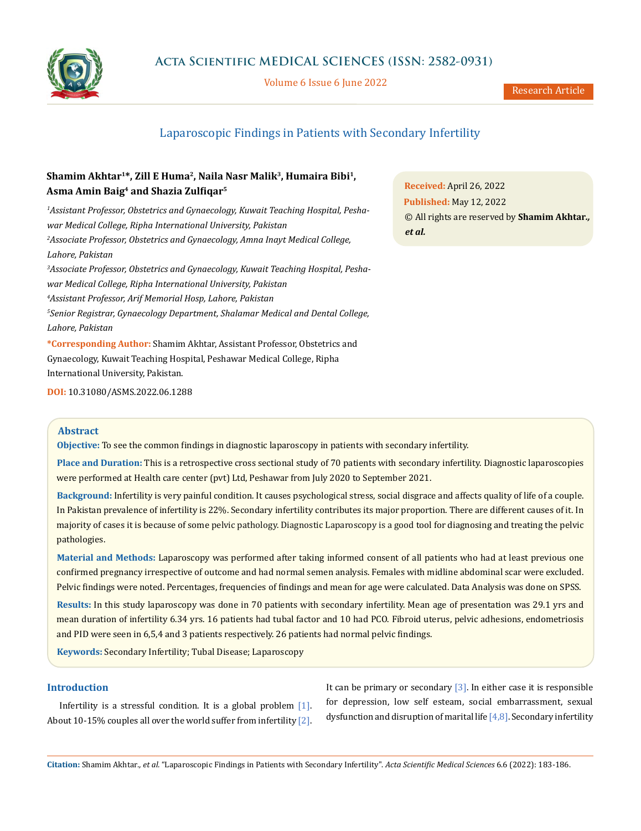

Volume 6 Issue 6 June 2022

Research Article

# Laparoscopic Findings in Patients with Secondary Infertility

## **Shamim Akhtar1\*, Zill E Huma2, Naila Nasr Malik3, Humaira Bibi1, Asma Amin Baig4 and Shazia Zulfiqar<sup>5</sup>**

*1 Assistant Professor, Obstetrics and Gynaecology, Kuwait Teaching Hospital, Peshawar Medical College, Ripha International University, Pakistan 2 Associate Professor, Obstetrics and Gynaecology, Amna Inayt Medical College, Lahore, Pakistan 3 Associate Professor, Obstetrics and Gynaecology, Kuwait Teaching Hospital, Peshawar Medical College, Ripha International University, Pakistan 4 Assistant Professor, Arif Memorial Hosp, Lahore, Pakistan 5 Senior Registrar, Gynaecology Department, Shalamar Medical and Dental College, Lahore, Pakistan*

**\*Corresponding Author:** Shamim Akhtar, Assistant Professor, Obstetrics and Gynaecology, Kuwait Teaching Hospital, Peshawar Medical College, Ripha International University, Pakistan.

**DOI:** [10.31080/ASMS.2022.06.1288](http://actascientific.com/ASMS/pdf/ASMS-06-1288.pdf)

**Received:** April 26, 2022 **Published:** May 12, 2022 © All rights are reserved by **Shamim Akhtar***., et al.*

## **Abstract**

**Objective:** To see the common findings in diagnostic laparoscopy in patients with secondary infertility.

**Place and Duration:** This is a retrospective cross sectional study of 70 patients with secondary infertility. Diagnostic laparoscopies were performed at Health care center (pvt) Ltd, Peshawar from July 2020 to September 2021.

**Background:** Infertility is very painful condition. It causes psychological stress, social disgrace and affects quality of life of a couple. In Pakistan prevalence of infertility is 22%. Secondary infertility contributes its major proportion. There are different causes of it. In majority of cases it is because of some pelvic pathology. Diagnostic Laparoscopy is a good tool for diagnosing and treating the pelvic pathologies.

**Material and Methods:** Laparoscopy was performed after taking informed consent of all patients who had at least previous one confirmed pregnancy irrespective of outcome and had normal semen analysis. Females with midline abdominal scar were excluded. Pelvic findings were noted. Percentages, frequencies of findings and mean for age were calculated. Data Analysis was done on SPSS.

**Results:** In this study laparoscopy was done in 70 patients with secondary infertility. Mean age of presentation was 29.1 yrs and mean duration of infertility 6.34 yrs. 16 patients had tubal factor and 10 had PCO. Fibroid uterus, pelvic adhesions, endometriosis and PID were seen in 6,5,4 and 3 patients respectively. 26 patients had normal pelvic findings.

**Keywords:** Secondary Infertility; Tubal Disease; Laparoscopy

## **Introduction**

Infertility is a stressful condition. It is a global problem [1]. About 10-15% couples all over the world suffer from infertility [2]. It can be primary or secondary  $[3]$ . In either case it is responsible for depression, low self esteam, social embarrassment, sexual dysfunction and disruption of marital life  $[4,8]$ . Secondary infertility

**Citation:** Shamim Akhtar*., et al.* "Laparoscopic Findings in Patients with Secondary Infertility". *Acta Scientific Medical Sciences* 6.6 (2022): 183-186.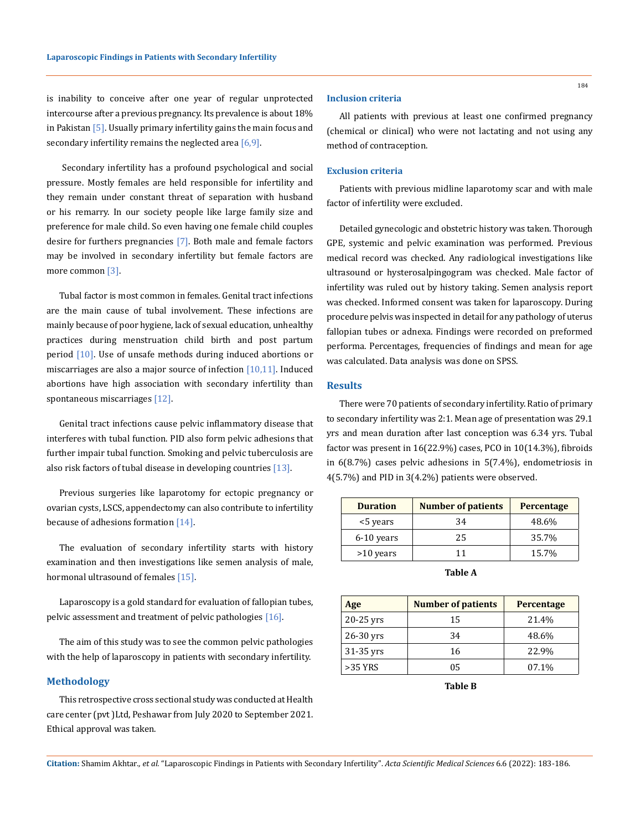is inability to conceive after one year of regular unprotected intercourse after a previous pregnancy. Its prevalence is about 18% in Pakistan [5]. Usually primary infertility gains the main focus and secondary infertility remains the neglected area  $[6,9]$ .

 Secondary infertility has a profound psychological and social pressure. Mostly females are held responsible for infertility and they remain under constant threat of separation with husband or his remarry. In our society people like large family size and preference for male child. So even having one female child couples desire for furthers pregnancies [7]. Both male and female factors may be involved in secondary infertility but female factors are more common [3].

Tubal factor is most common in females. Genital tract infections are the main cause of tubal involvement. These infections are mainly because of poor hygiene, lack of sexual education, unhealthy practices during menstruation child birth and post partum period [10]. Use of unsafe methods during induced abortions or miscarriages are also a major source of infection  $[10,11]$ . Induced abortions have high association with secondary infertility than spontaneous miscarriages [12].

Genital tract infections cause pelvic inflammatory disease that interferes with tubal function. PID also form pelvic adhesions that further impair tubal function. Smoking and pelvic tuberculosis are also risk factors of tubal disease in developing countries [13].

Previous surgeries like laparotomy for ectopic pregnancy or ovarian cysts, LSCS, appendectomy can also contribute to infertility because of adhesions formation [14].

The evaluation of secondary infertility starts with history examination and then investigations like semen analysis of male, hormonal ultrasound of females [15].

Laparoscopy is a gold standard for evaluation of fallopian tubes, pelvic assessment and treatment of pelvic pathologies [16].

The aim of this study was to see the common pelvic pathologies with the help of laparoscopy in patients with secondary infertility.

### **Methodology**

This retrospective cross sectional study was conducted at Health care center (pvt )Ltd, Peshawar from July 2020 to September 2021. Ethical approval was taken.

#### **Inclusion criteria**

All patients with previous at least one confirmed pregnancy (chemical or clinical) who were not lactating and not using any method of contraception.

#### **Exclusion criteria**

Patients with previous midline laparotomy scar and with male factor of infertility were excluded.

Detailed gynecologic and obstetric history was taken. Thorough GPE, systemic and pelvic examination was performed. Previous medical record was checked. Any radiological investigations like ultrasound or hysterosalpingogram was checked. Male factor of infertility was ruled out by history taking. Semen analysis report was checked. Informed consent was taken for laparoscopy. During procedure pelvis was inspected in detail for any pathology of uterus fallopian tubes or adnexa. Findings were recorded on preformed performa. Percentages, frequencies of findings and mean for age was calculated. Data analysis was done on SPSS.

## **Results**

There were 70 patients of secondary infertility. Ratio of primary to secondary infertility was 2:1. Mean age of presentation was 29.1 yrs and mean duration after last conception was 6.34 yrs. Tubal factor was present in 16(22.9%) cases, PCO in 10(14.3%), fibroids in 6(8.7%) cases pelvic adhesions in 5(7.4%), endometriosis in 4(5.7%) and PID in 3(4.2%) patients were observed.

| <b>Duration</b> | <b>Number of patients</b> | <b>Percentage</b> |
|-----------------|---------------------------|-------------------|
| <5 years        | 34                        | 48.6%             |
| $6-10$ years    | 25                        | 35.7%             |
| $>10$ years     | 11                        | 15.7%             |

 **Table A**

| Age         | <b>Number of patients</b> | Percentage |
|-------------|---------------------------|------------|
| $20-25$ yrs | 15                        | 21.4%      |
| $26-30$ yrs | 34                        | 48.6%      |
| 31-35 yrs   | 16                        | 22.9%      |
| $>35$ YRS   | 05                        | 07.1%      |

 **Table B**

**Citation:** Shamim Akhtar*., et al.* "Laparoscopic Findings in Patients with Secondary Infertility". *Acta Scientific Medical Sciences* 6.6 (2022): 183-186.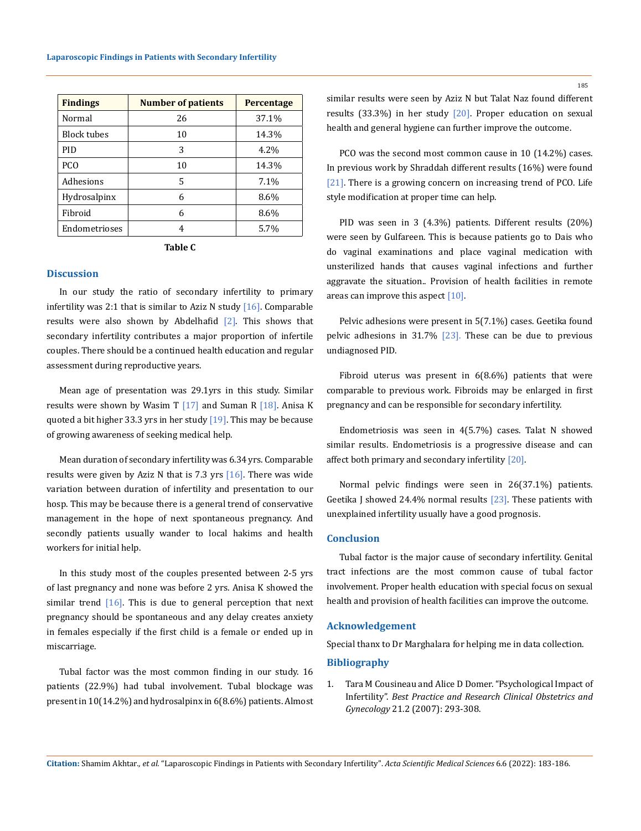| <b>Findings</b>    | <b>Number of patients</b> | Percentage |
|--------------------|---------------------------|------------|
| Normal             | 26                        | 37.1%      |
| <b>Block tubes</b> | 10                        | 14.3%      |
| <b>PID</b>         | 3                         | 4.2%       |
| <b>PCO</b>         | 10                        | 14.3%      |
| Adhesions          | 5                         | 7.1%       |
| Hydrosalpinx       | 6                         | 8.6%       |
| Fibroid            | 6                         | 8.6%       |
| Endometrioses      | 4                         | 5.7%       |

| L<br>ш |  |
|--------|--|
|--------|--|

#### **Discussion**

In our study the ratio of secondary infertility to primary infertility was 2:1 that is similar to Aziz N study  $[16]$ . Comparable results were also shown by Abdelhafid [2]. This shows that secondary infertility contributes a major proportion of infertile couples. There should be a continued health education and regular assessment during reproductive years.

Mean age of presentation was 29.1yrs in this study. Similar results were shown by Wasim T  $[17]$  and Suman R  $[18]$ . Anisa K quoted a bit higher 33.3 yrs in her study  $[19]$ . This may be because of growing awareness of seeking medical help.

Mean duration of secondary infertility was 6.34 yrs. Comparable results were given by Aziz N that is 7.3 yrs  $[16]$ . There was wide variation between duration of infertility and presentation to our hosp. This may be because there is a general trend of conservative management in the hope of next spontaneous pregnancy. And secondly patients usually wander to local hakims and health workers for initial help.

In this study most of the couples presented between 2-5 yrs of last pregnancy and none was before 2 yrs. Anisa K showed the similar trend  $[16]$ . This is due to general perception that next pregnancy should be spontaneous and any delay creates anxiety in females especially if the first child is a female or ended up in miscarriage.

Tubal factor was the most common finding in our study. 16 patients (22.9%) had tubal involvement. Tubal blockage was present in 10(14.2%) and hydrosalpinx in 6(8.6%) patients. Almost similar results were seen by Aziz N but Talat Naz found different results (33.3%) in her study [20]. Proper education on sexual health and general hygiene can further improve the outcome.

PCO was the second most common cause in 10 (14.2%) cases. In previous work by Shraddah different results (16%) were found [21]. There is a growing concern on increasing trend of PCO. Life style modification at proper time can help.

PID was seen in 3 (4.3%) patients. Different results (20%) were seen by Gulfareen. This is because patients go to Dais who do vaginal examinations and place vaginal medication with unsterilized hands that causes vaginal infections and further aggravate the situation.. Provision of health facilities in remote areas can improve this aspect [10].

Pelvic adhesions were present in 5(7.1%) cases. Geetika found pelvic adhesions in 31.7% [23]. These can be due to previous undiagnosed PID.

Fibroid uterus was present in 6(8.6%) patients that were comparable to previous work. Fibroids may be enlarged in first pregnancy and can be responsible for secondary infertility.

Endometriosis was seen in 4(5.7%) cases. Talat N showed similar results. Endometriosis is a progressive disease and can affect both primary and secondary infertility [20].

Normal pelvic findings were seen in 26(37.1%) patients. Geetika J showed 24.4% normal results  $[23]$ . These patients with unexplained infertility usually have a good prognosis.

## **Conclusion**

Tubal factor is the major cause of secondary infertility. Genital tract infections are the most common cause of tubal factor involvement. Proper health education with special focus on sexual health and provision of health facilities can improve the outcome.

#### **Acknowledgement**

Special thanx to Dr Marghalara for helping me in data collection. **Bibliography**

1. Tara M Cousineau and Alice D Domer. "Psychological Impact of Infertility". *Best Practice and Research Clinical Obstetrics and Gynecology* 21.2 (2007): 293-308.